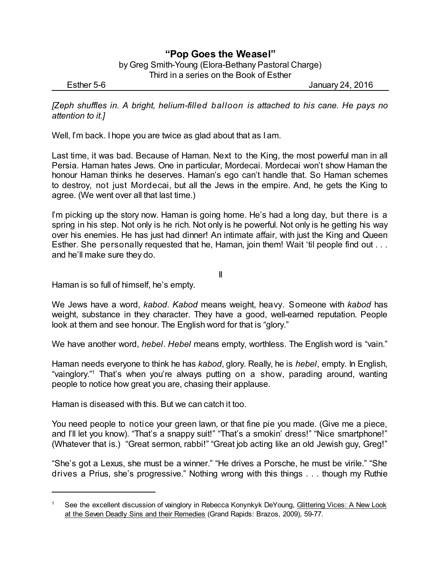## **"Pop Goes the Weasel"**

by Greg Smith-Young (Elora-Bethany Pastoral Charge) Third in a series on the Book of Esther

Esther 5-6 January 24, 2016

*[Zeph shuffles in. A bright, helium-filled balloon is attached to his cane. He pays no attention to it.]*

Well, I'm back. I hope you are twice as glad about that as I am.

Last time, it was bad. Because of Haman. Next to the King, the most powerful man in all Persia. Haman hates Jews. One in particular, Mordecai. Mordecai won't show Haman the honour Haman thinks he deserves. Haman's ego can't handle that. So Haman schemes to destroy, not just Mordecai, but all the Jews in the empire. And, he gets the King to agree. (We went over all that last time.)

I'm picking up the story now. Haman is going home. He's had a long day, but there is a spring in his step. Not only is he rich. Not only is he powerful. Not only is he getting his way over his enemies. He has just had dinner! An intimate affair, with just the King and Queen Esther. She personally requested that he, Haman, join them! Wait 'til people find out . . . and he'll make sure they do.

II

Haman is so full of himself, he's empty.

We Jews have a word, *kabod*. *Kabod* means weight, heavy. Someone with *kabod* has weight, substance in they character. They have a good, well-earned reputation. People look at them and see honour. The English word for that is "glory."

We have another word, *hebel*. *Hebel* means empty, worthless. The English word is "vain."

Haman needs everyone to think he has *kabod*, glory. Really, he is *hebel*, empty. In English, "vainglory." <sup>1</sup> That's when you're always putting on a show, parading around, wanting people to notice how great you are, chasing their applause.

Haman is diseased with this. But we can catch it too.

You need people to notice your green lawn, or that fine pie you made. (Give me a piece, and I'll let you know). "That's a snappy suit!" "That's a smokin' dress!" "Nice smartphone!" (Whatever that is.) "Great sermon, rabbi!" "Great job acting like an old Jewish guy, Greg!"

"She's got a Lexus, she must be a winner." "He drives a Porsche, he must be virile." "She drives a Prius, she's progressive." Nothing wrong with this things . . . though my Ruthie

<sup>1</sup> See the excellent discussion of vainglory in Rebecca Konynkyk DeYoung, Glittering Vices: A New Look at the Seven Deadly Sins and their Remedies (Grand Rapids: Brazos, 2009), 59-77.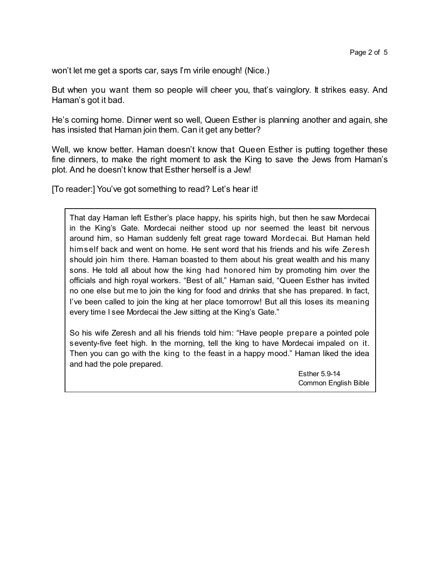won't let me get a sports car, says I'm virile enough! (Nice.)

But when you want them so people will cheer you, that's vainglory. It strikes easy. And Haman's got it bad.

He's coming home. Dinner went so well, Queen Esther is planning another and again, she has insisted that Haman join them. Can it get any better?

Well, we know better. Haman doesn't know that Queen Esther is putting together these fine dinners, to make the right moment to ask the King to save the Jews from Haman's plot. And he doesn't know that Esther herself is a Jew!

[To reader:] You've got something to read? Let's hear it!

That day Haman left Esther's place happy, his spirits high, but then he saw Mordecai in the King's Gate. Mordecai neither stood up nor seemed the least bit nervous around him, so Haman suddenly felt great rage toward Mordecai. But Haman held himself back and went on home. He sent word that his friends and his wife Zeresh should join him there. Haman boasted to them about his great wealth and his many sons. He told all about how the king had honored him by promoting him over the officials and high royal workers. "Best of all," Haman said, "Queen Esther has invited no one else but me to join the king for food and drinks that she has prepared. In fact, I've been called to join the king at her place tomorrow! But all this loses its meaning every time I see Mordecai the Jew sitting at the King's Gate."

So his wife Zeresh and all his friends told him: "Have people prepare a pointed pole seventy-five feet high. In the morning, tell the king to have Mordecai impaled on it. Then you can go with the king to the feast in a happy mood." Haman liked the idea and had the pole prepared.

> Esther 5.9-14 Common English Bible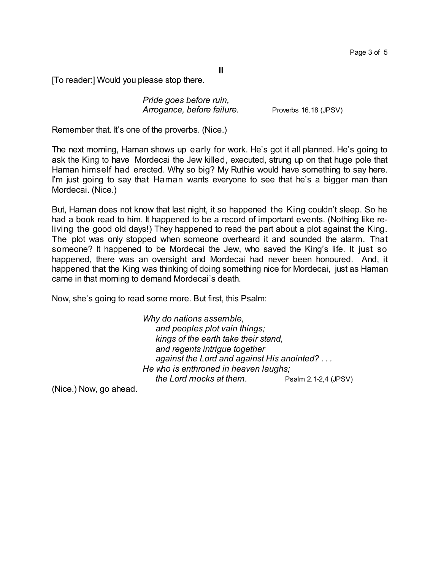III

[To reader:] Would you please stop there.

*Pride goes before ruin, Arrogance, before failure.* Proverbs 16.18 (JPSV)

Remember that. It's one of the proverbs. (Nice.)

The next morning, Haman shows up early for work. He's got it all planned. He's going to ask the King to have Mordecai the Jew killed, executed, strung up on that huge pole that Haman himself had erected. Why so big? My Ruthie would have something to say here. I'm just going to say that Haman wants everyone to see that he's a bigger man than Mordecai. (Nice.)

But, Haman does not know that last night, it so happened the King couldn't sleep. So he had a book read to him. It happened to be a record of important events. (Nothing like reliving the good old days!) They happened to read the part about a plot against the King. The plot was only stopped when someone overheard it and sounded the alarm. That someone? It happened to be Mordecai the Jew, who saved the King's life. It just so happened, there was an oversight and Mordecai had never been honoured. And, it happened that the King was thinking of doing something nice for Mordecai, just as Haman came in that morning to demand Mordecai's death.

Now, she's going to read some more. But first, this Psalm:

*Why do nations assemble, and peoples plot vain things; kings of the earth take their stand, and regents intrigue together against the Lord and against His anointed? . . . He who is enthroned in heaven laughs; the Lord mocks at them.* Psalm 2.1-2,4 (JPSV)

(Nice.) Now, go ahead.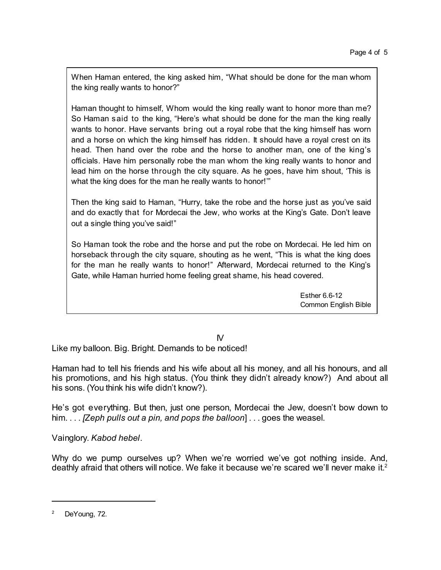When Haman entered, the king asked him, "What should be done for the man whom the king really wants to honor?"

Haman thought to himself, Whom would the king really want to honor more than me? So Haman said to the king, "Here's what should be done for the man the king really wants to honor. Have servants bring out a royal robe that the king himself has worn and a horse on which the king himself has ridden. It should have a royal crest on its head. Then hand over the robe and the horse to another man, one of the king's officials. Have him personally robe the man whom the king really wants to honor and lead him on the horse through the city square. As he goes, have him shout, 'This is what the king does for the man he really wants to honor!"

Then the king said to Haman, "Hurry, take the robe and the horse just as you've said and do exactly that for Mordecai the Jew, who works at the King's Gate. Don't leave out a single thing you've said!"

So Haman took the robe and the horse and put the robe on Mordecai. He led him on horseback through the city square, shouting as he went, "This is what the king does for the man he really wants to honor!" Afterward, Mordecai returned to the King's Gate, while Haman hurried home feeling great shame, his head covered.

> Esther 6.6-12 Common English Bible

IV

Like my balloon. Big. Bright. Demands to be noticed!

Haman had to tell his friends and his wife about all his money, and all his honours, and all his promotions, and his high status. (You think they didn't already know?) And about all his sons. (You think his wife didn't know?).

He's got everything. But then, just one person, Mordecai the Jew, doesn't bow down to him. . . . *[Zeph pulls out a pin, and pops the balloon*] . . . goes the weasel.

Vainglory. *Kabod hebel*.

Why do we pump ourselves up? When we're worried we've got nothing inside. And, deathly afraid that others will notice. We fake it because we're scared we'll never make it.<sup>2</sup>

<sup>&</sup>lt;sup>2</sup> DeYoung, 72.